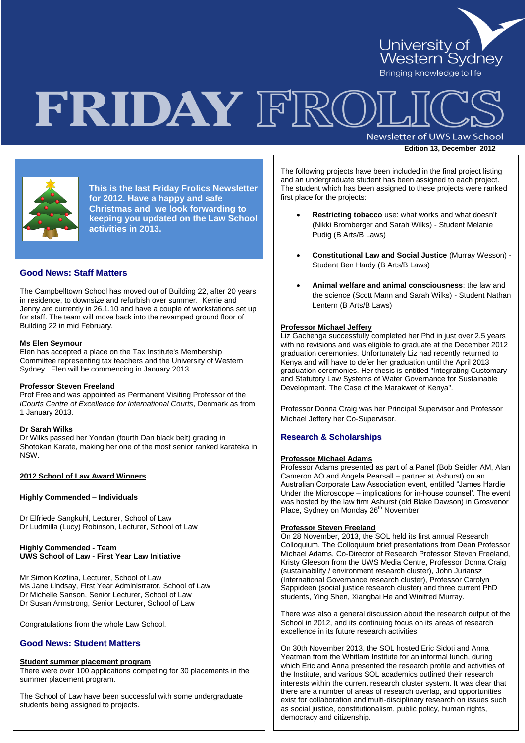

# FRIDAY FRO

Newsletter of UWS Law School

**Edition 13, December 2012** 



**This is the last Friday Frolics Newsletter for 2012. Have a happy and safe Christmas and we look forwarding to keeping you updated on the Law School activities in 2013.**

# **Good News: Staff Matters**

The Campbelltown School has moved out of Building 22, after 20 years in residence, to downsize and refurbish over summer. Kerrie and Jenny are currently in 26.1.10 and have a couple of workstations set up for staff. The team will move back into the revamped ground floor of Building 22 in mid February.

#### **Ms Elen Seymour**

Elen has accepted a place on the Tax Institute's Membership Committee representing tax teachers and the University of Western Sydney. Elen will be commencing in January 2013.

#### **Professor Steven Freeland**

Prof Freeland was appointed as Permanent Visiting Professor of the *iCourts Centre of Excellence for International Courts*, Denmark as from 1 January 2013.

#### **Dr Sarah Wilks**

Dr Wilks passed her Yondan (fourth Dan black belt) grading in Shotokan Karate, making her one of the most senior ranked karateka in NSW.

#### **2012 School of Law Award Winners**

#### **Highly Commended – Individuals**

Dr Elfriede Sangkuhl, Lecturer, School of Law Dr Ludmilla (Lucy) Robinson, Lecturer, School of Law

# **Highly Commended - Team UWS School of Law - First Year Law Initiative**

Mr Simon Kozlina, Lecturer, School of Law Ms Jane Lindsay, First Year Administrator, School of Law Dr Michelle Sanson, Senior Lecturer, School of Law Dr Susan Armstrong, Senior Lecturer, School of Law

Congratulations from the whole Law School.

# **Good News: Student Matters**

#### **Student summer placement program**

There were over 100 applications competing for 30 placements in the summer placement program.

The School of Law have been successful with some undergraduate students being assigned to projects.

The following projects have been included in the final project listing and an undergraduate student has been assigned to each project. The student which has been assigned to these projects were ranked first place for the projects:

- **Restricting tobacco** use: what works and what doesn't (Nikki Bromberger and Sarah Wilks) - Student Melanie Pudig (B Arts/B Laws)
- **Constitutional Law and Social Justice** (Murray Wesson) Student Ben Hardy (B Arts/B Laws)
- **Animal welfare and animal consciousness**: the law and the science (Scott Mann and Sarah Wilks) - Student Nathan Lentern (B Arts/B Laws)

# **Professor Michael Jeffery**

Liz Gachenga successfully completed her Phd in just over 2.5 years with no revisions and was eligible to graduate at the December 2012 graduation ceremonies. Unfortunately Liz had recently returned to Kenya and will have to defer her graduation until the April 2013 graduation ceremonies. Her thesis is entitled "Integrating Customary and Statutory Law Systems of Water Governance for Sustainable Development. The Case of the Marakwet of Kenya".

Professor Donna Craig was her Principal Supervisor and Professor Michael Jeffery her Co-Supervisor.

# **Research & Scholarships**

#### **Professor Michael Adams**

Professor Adams presented as part of a Panel (Bob Seidler AM, Alan Cameron AO and Angela Pearsall – partner at Ashurst) on an Australian Corporate Law Association event, entitled "James Hardie Under the Microscope – implications for in-house counsel". The event was hosted by the law firm Ashurst (old Blake Dawson) in Grosvenor Place, Sydney on Monday 26<sup>th</sup> November.

#### **Professor Steven Freeland**

On 28 November, 2013, the SOL held its first annual Research Colloquium. The Colloquium brief presentations from Dean Professor Michael Adams, Co-Director of Research Professor Steven Freeland, Kristy Gleeson from the UWS Media Centre, Professor Donna Craig (sustainability / environment research cluster), John Juriansz (International Governance research cluster), Professor Carolyn Sappideen (social justice research cluster) and three current PhD students, Ying Shen, Xiangbai He and Winifred Murray.

There was also a general discussion about the research output of the School in 2012, and its continuing focus on its areas of research excellence in its future research activities

On 30th November 2013, the SOL hosted Eric Sidoti and Anna Yeatman from the Whitlam Institute for an informal lunch, during which Eric and Anna presented the research profile and activities of the Institute, and various SOL academics outlined their research interests within the current research cluster system. It was clear that there are a number of areas of research overlap, and opportunities exist for collaboration and multi-disciplinary research on issues such as social justice, constitutionalism, public policy, human rights, democracy and citizenship.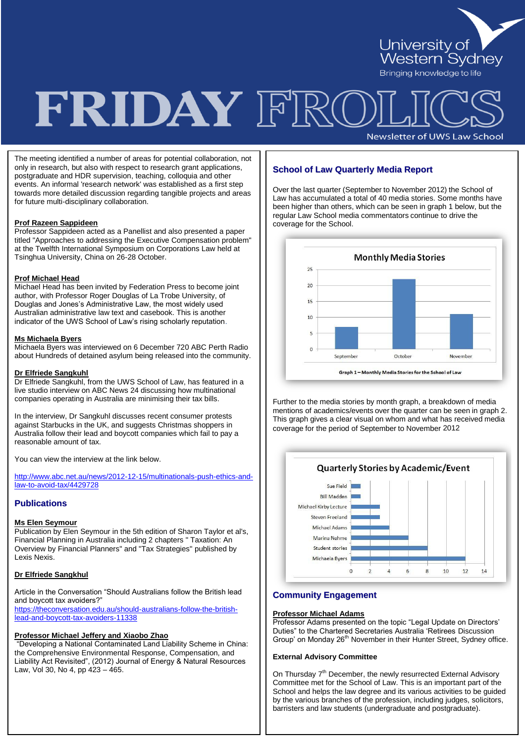

# FRIDAY FRC

Newsletter of UWS Law School

The meeting identified a number of areas for potential collaboration, not only in research, but also with respect to research grant applications, postgraduate and HDR supervision, teaching, colloquia and other events. An informal 'research network' was established as a first step towards more detailed discussion regarding tangible projects and areas for future multi-disciplinary collaboration.

#### **Prof Razeen Sappideen**

Professor Sappideen acted as a Panellist and also presented a paper titled "Approaches to addressing the Executive Compensation problem" at the Twelfth International Symposium on Corporations Law held at Tsinghua University, China on 26-28 October.

#### **Prof Michael Head**

Michael Head has been invited by Federation Press to become joint author, with Professor Roger Douglas of La Trobe University, of Douglas and Jones"s Administrative Law, the most widely used Australian administrative law text and casebook. This is another indicator of the UWS School of Law's rising scholarly reputation.

#### **Ms Michaela Byers**

Michaela Byers was interviewed on 6 December 720 ABC Perth Radio about Hundreds of detained asylum being released into the community.

#### **Dr Elfriede Sangkuhl**

Dr Elfriede Sangkuhl, from the UWS School of Law, has featured in a live studio interview on ABC News 24 discussing how multinational companies operating in Australia are minimising their tax bills.

In the interview, Dr Sangkuhl discusses recent consumer protests against Starbucks in the UK, and suggests Christmas shoppers in Australia follow their lead and boycott companies which fail to pay a reasonable amount of tax.

You can view the interview at the link below.

[http://www.abc.net.au/news/2012-12-15/multinationals-push-ethics-and](http://www.abc.net.au/news/2012-12-15/multinationals-push-ethics-and-law-to-avoid-tax/4429728)[law-to-avoid-tax/4429728](http://www.abc.net.au/news/2012-12-15/multinationals-push-ethics-and-law-to-avoid-tax/4429728)

# **Publications**

#### **Ms Elen Seymour**

Publication by Elen Seymour in the 5th edition of Sharon Taylor et al's, Financial Planning in Australia including 2 chapters " Taxation: An Overview by Financial Planners" and "Tax Strategies" published by Lexis Nexis.

# **Dr Elfriede Sangkhul**

Article in the Conversation "Should Australians follow the British lead and boycott tax avoiders?"

[https://theconversation.edu.au/should-australians-follow-the-british](https://theconversation.edu.au/should-australians-follow-the-british-lead-and-boycott-tax-avoiders-11338)[lead-and-boycott-tax-avoiders-11338](https://theconversation.edu.au/should-australians-follow-the-british-lead-and-boycott-tax-avoiders-11338)

#### **Professor Michael Jeffery and Xiaobo Zhao**

"Developing a National Contaminated Land Liability Scheme in China: the Comprehensive Environmental Response, Compensation, and Liability Act Revisited", (2012) Journal of Energy & Natural Resources Law, Vol 30, No 4, pp 423 – 465.

# **School of Law Quarterly Media Report**

Over the last quarter (September to November 2012) the School of Law has accumulated a total of 40 media stories. Some months have been higher than others, which can be seen in graph 1 below, but the regular Law School media commentators continue to drive the coverage for the School.



Further to the media stories by month graph, a breakdown of media mentions of academics/events over the quarter can be seen in graph 2. This graph gives a clear visual on whom and what has received media coverage for the period of September to November 2012



# **Community Engagement**

# **Professor Michael Adams**

Professor Adams presented on the topic "Legal Update on Directors" Duties" to the Chartered Secretaries Australia "Retirees Discussion Group' on Monday 26<sup>th</sup> November in their Hunter Street, Sydney office.

#### **External Advisory Committee**

On Thursday 7<sup>th</sup> December, the newly resurrected External Advisory Committee met for the School of Law. This is an important part of the School and helps the law degree and its various activities to be guided by the various branches of the profession, including judges, solicitors, barristers and law students (undergraduate and postgraduate).